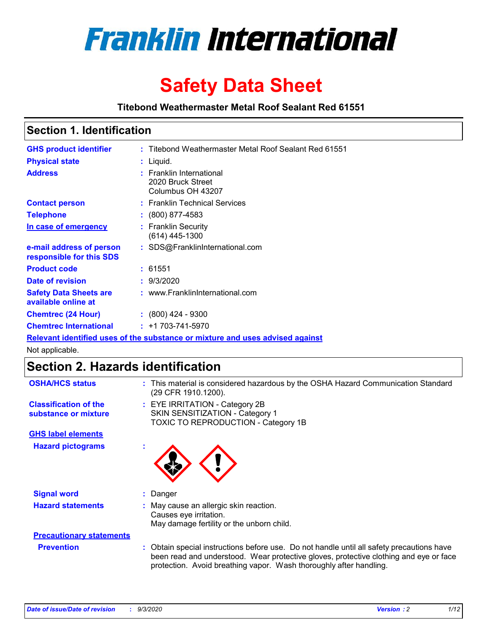

# **Safety Data Sheet**

**Titebond Weathermaster Metal Roof Sealant Red 61551**

### **Section 1. Identification**

| <b>GHS product identifier</b>                                                 |  | : Titebond Weathermaster Metal Roof Sealant Red 61551              |  |  |
|-------------------------------------------------------------------------------|--|--------------------------------------------------------------------|--|--|
| <b>Physical state</b>                                                         |  | : Liquid.                                                          |  |  |
| <b>Address</b>                                                                |  | : Franklin International<br>2020 Bruck Street<br>Columbus OH 43207 |  |  |
| <b>Contact person</b>                                                         |  | : Franklin Technical Services                                      |  |  |
| <b>Telephone</b>                                                              |  | $\colon$ (800) 877-4583                                            |  |  |
| In case of emergency                                                          |  | : Franklin Security<br>(614) 445-1300                              |  |  |
| e-mail address of person<br>responsible for this SDS                          |  | : SDS@FranklinInternational.com                                    |  |  |
| <b>Product code</b>                                                           |  | : 61551                                                            |  |  |
| Date of revision                                                              |  | : 9/3/2020                                                         |  |  |
| <b>Safety Data Sheets are</b><br>available online at                          |  | : www.FranklinInternational.com                                    |  |  |
| <b>Chemtrec (24 Hour)</b>                                                     |  | $\div$ (800) 424 - 9300                                            |  |  |
| <b>Chemtrec International</b>                                                 |  | $: +1703 - 741 - 5970$                                             |  |  |
| Relevant identified uses of the substance or mixture and uses advised against |  |                                                                    |  |  |

Not applicable.

# **Section 2. Hazards identification**

| <b>OSHA/HCS status</b>                               | : This material is considered hazardous by the OSHA Hazard Communication Standard<br>(29 CFR 1910.1200).                                                                                                                                                 |
|------------------------------------------------------|----------------------------------------------------------------------------------------------------------------------------------------------------------------------------------------------------------------------------------------------------------|
| <b>Classification of the</b><br>substance or mixture | : EYE IRRITATION - Category 2B<br>SKIN SENSITIZATION - Category 1<br>TOXIC TO REPRODUCTION - Category 1B                                                                                                                                                 |
| <b>GHS label elements</b>                            |                                                                                                                                                                                                                                                          |
| <b>Hazard pictograms</b>                             |                                                                                                                                                                                                                                                          |
| <b>Signal word</b>                                   | Danger<br>÷.                                                                                                                                                                                                                                             |
| <b>Hazard statements</b>                             | May cause an allergic skin reaction.<br>Causes eye irritation.<br>May damage fertility or the unborn child.                                                                                                                                              |
| <b>Precautionary statements</b>                      |                                                                                                                                                                                                                                                          |
| <b>Prevention</b>                                    | : Obtain special instructions before use. Do not handle until all safety precautions have<br>been read and understood. Wear protective gloves, protective clothing and eye or face<br>protection. Avoid breathing vapor. Wash thoroughly after handling. |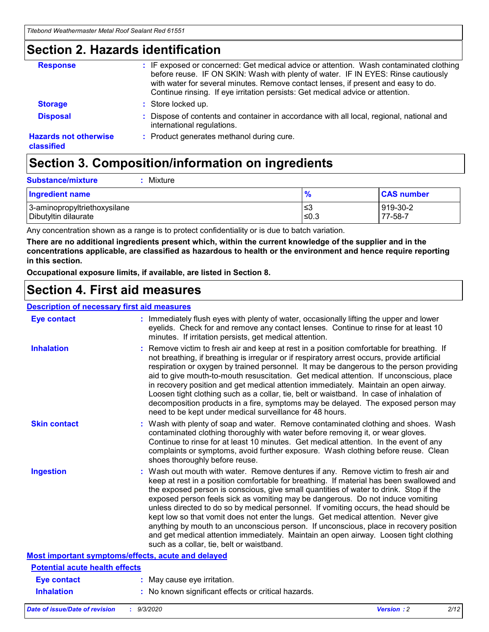### **Section 2. Hazards identification**

| <b>Response</b>                            | : IF exposed or concerned: Get medical advice or attention. Wash contaminated clothing<br>before reuse. IF ON SKIN: Wash with plenty of water. IF IN EYES: Rinse cautiously<br>with water for several minutes. Remove contact lenses, if present and easy to do.<br>Continue rinsing. If eye irritation persists: Get medical advice or attention. |
|--------------------------------------------|----------------------------------------------------------------------------------------------------------------------------------------------------------------------------------------------------------------------------------------------------------------------------------------------------------------------------------------------------|
| <b>Storage</b>                             | : Store locked up.                                                                                                                                                                                                                                                                                                                                 |
| <b>Disposal</b>                            | : Dispose of contents and container in accordance with all local, regional, national and<br>international regulations.                                                                                                                                                                                                                             |
| <b>Hazards not otherwise</b><br>classified | : Product generates methanol during cure.                                                                                                                                                                                                                                                                                                          |

# **Section 3. Composition/information on ingredients**

| <b>Substance/mixture</b> | Mixture |
|--------------------------|---------|
|                          |         |

| <b>Ingredient name</b>       | $\frac{9}{6}$ | <b>CAS number</b> |
|------------------------------|---------------|-------------------|
| 3-aminopropyltriethoxysilane | ՝≤3           | 919-30-2          |
| Dibutyltin dilaurate         | ∣≤0.3         | 77-58-7           |

Any concentration shown as a range is to protect confidentiality or is due to batch variation.

**There are no additional ingredients present which, within the current knowledge of the supplier and in the concentrations applicable, are classified as hazardous to health or the environment and hence require reporting in this section.**

**Occupational exposure limits, if available, are listed in Section 8.**

### **Section 4. First aid measures**

| <b>Description of necessary first aid measures</b> |                                                                                                                                                                                                                                                                                                                                                                                                                                                                                                                                                                                                                                                                                                                                                                           |
|----------------------------------------------------|---------------------------------------------------------------------------------------------------------------------------------------------------------------------------------------------------------------------------------------------------------------------------------------------------------------------------------------------------------------------------------------------------------------------------------------------------------------------------------------------------------------------------------------------------------------------------------------------------------------------------------------------------------------------------------------------------------------------------------------------------------------------------|
| <b>Eye contact</b>                                 | : Immediately flush eyes with plenty of water, occasionally lifting the upper and lower<br>eyelids. Check for and remove any contact lenses. Continue to rinse for at least 10<br>minutes. If irritation persists, get medical attention.                                                                                                                                                                                                                                                                                                                                                                                                                                                                                                                                 |
| <b>Inhalation</b>                                  | : Remove victim to fresh air and keep at rest in a position comfortable for breathing. If<br>not breathing, if breathing is irregular or if respiratory arrest occurs, provide artificial<br>respiration or oxygen by trained personnel. It may be dangerous to the person providing<br>aid to give mouth-to-mouth resuscitation. Get medical attention. If unconscious, place<br>in recovery position and get medical attention immediately. Maintain an open airway.<br>Loosen tight clothing such as a collar, tie, belt or waistband. In case of inhalation of<br>decomposition products in a fire, symptoms may be delayed. The exposed person may<br>need to be kept under medical surveillance for 48 hours.                                                       |
| <b>Skin contact</b>                                | : Wash with plenty of soap and water. Remove contaminated clothing and shoes. Wash<br>contaminated clothing thoroughly with water before removing it, or wear gloves.<br>Continue to rinse for at least 10 minutes. Get medical attention. In the event of any<br>complaints or symptoms, avoid further exposure. Wash clothing before reuse. Clean<br>shoes thoroughly before reuse.                                                                                                                                                                                                                                                                                                                                                                                     |
| <b>Ingestion</b>                                   | : Wash out mouth with water. Remove dentures if any. Remove victim to fresh air and<br>keep at rest in a position comfortable for breathing. If material has been swallowed and<br>the exposed person is conscious, give small quantities of water to drink. Stop if the<br>exposed person feels sick as vomiting may be dangerous. Do not induce vomiting<br>unless directed to do so by medical personnel. If vomiting occurs, the head should be<br>kept low so that vomit does not enter the lungs. Get medical attention. Never give<br>anything by mouth to an unconscious person. If unconscious, place in recovery position<br>and get medical attention immediately. Maintain an open airway. Loosen tight clothing<br>such as a collar, tie, belt or waistband. |
| Most important symptoms/effects, acute and delayed |                                                                                                                                                                                                                                                                                                                                                                                                                                                                                                                                                                                                                                                                                                                                                                           |
| <b>Potential acute health effects</b>              |                                                                                                                                                                                                                                                                                                                                                                                                                                                                                                                                                                                                                                                                                                                                                                           |
| <b>Eye contact</b>                                 | : May cause eye irritation.                                                                                                                                                                                                                                                                                                                                                                                                                                                                                                                                                                                                                                                                                                                                               |
| <b>Inhalation</b>                                  | : No known significant effects or critical hazards.                                                                                                                                                                                                                                                                                                                                                                                                                                                                                                                                                                                                                                                                                                                       |
|                                                    |                                                                                                                                                                                                                                                                                                                                                                                                                                                                                                                                                                                                                                                                                                                                                                           |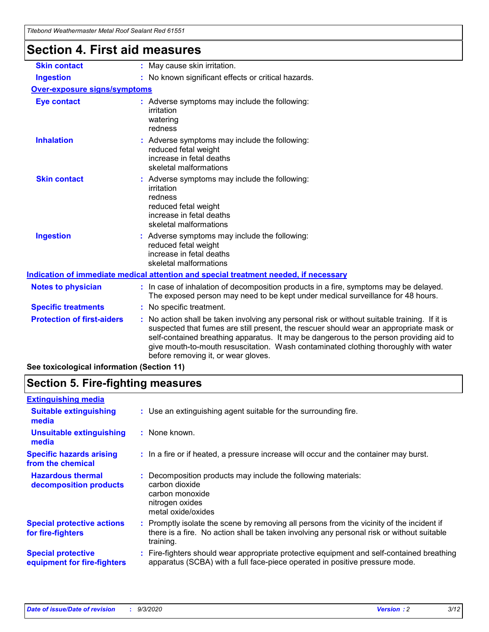| <b>Section 4. First aid measures</b> |                                                                                                                                                                                                                                                                                                                                                                                                                 |
|--------------------------------------|-----------------------------------------------------------------------------------------------------------------------------------------------------------------------------------------------------------------------------------------------------------------------------------------------------------------------------------------------------------------------------------------------------------------|
| <b>Skin contact</b>                  | : May cause skin irritation.                                                                                                                                                                                                                                                                                                                                                                                    |
| <b>Ingestion</b>                     | : No known significant effects or critical hazards.                                                                                                                                                                                                                                                                                                                                                             |
| <b>Over-exposure signs/symptoms</b>  |                                                                                                                                                                                                                                                                                                                                                                                                                 |
| <b>Eye contact</b>                   | : Adverse symptoms may include the following:<br>irritation<br>watering<br>redness                                                                                                                                                                                                                                                                                                                              |
| <b>Inhalation</b>                    | : Adverse symptoms may include the following:<br>reduced fetal weight<br>increase in fetal deaths<br>skeletal malformations                                                                                                                                                                                                                                                                                     |
| <b>Skin contact</b>                  | : Adverse symptoms may include the following:<br>irritation<br>redness<br>reduced fetal weight<br>increase in fetal deaths<br>skeletal malformations                                                                                                                                                                                                                                                            |
| <b>Ingestion</b>                     | : Adverse symptoms may include the following:<br>reduced fetal weight<br>increase in fetal deaths<br>skeletal malformations                                                                                                                                                                                                                                                                                     |
|                                      | Indication of immediate medical attention and special treatment needed, if necessary                                                                                                                                                                                                                                                                                                                            |
| <b>Notes to physician</b>            | : In case of inhalation of decomposition products in a fire, symptoms may be delayed.<br>The exposed person may need to be kept under medical surveillance for 48 hours.                                                                                                                                                                                                                                        |
| <b>Specific treatments</b>           | : No specific treatment.                                                                                                                                                                                                                                                                                                                                                                                        |
| <b>Protection of first-aiders</b>    | : No action shall be taken involving any personal risk or without suitable training. If it is<br>suspected that fumes are still present, the rescuer should wear an appropriate mask or<br>self-contained breathing apparatus. It may be dangerous to the person providing aid to<br>give mouth-to-mouth resuscitation. Wash contaminated clothing thoroughly with water<br>before removing it, or wear gloves. |

**See toxicological information (Section 11)**

### **Section 5. Fire-fighting measures**

| <b>Extinguishing media</b>                               |                                                                                                                                                                                                     |
|----------------------------------------------------------|-----------------------------------------------------------------------------------------------------------------------------------------------------------------------------------------------------|
| <b>Suitable extinguishing</b><br>media                   | : Use an extinguishing agent suitable for the surrounding fire.                                                                                                                                     |
| <b>Unsuitable extinguishing</b><br>media                 | $:$ None known.                                                                                                                                                                                     |
| <b>Specific hazards arising</b><br>from the chemical     | : In a fire or if heated, a pressure increase will occur and the container may burst.                                                                                                               |
| <b>Hazardous thermal</b><br>decomposition products       | Decomposition products may include the following materials:<br>carbon dioxide<br>carbon monoxide<br>nitrogen oxides<br>metal oxide/oxides                                                           |
| <b>Special protective actions</b><br>for fire-fighters   | : Promptly isolate the scene by removing all persons from the vicinity of the incident if<br>there is a fire. No action shall be taken involving any personal risk or without suitable<br>training. |
| <b>Special protective</b><br>equipment for fire-fighters | Fire-fighters should wear appropriate protective equipment and self-contained breathing<br>apparatus (SCBA) with a full face-piece operated in positive pressure mode.                              |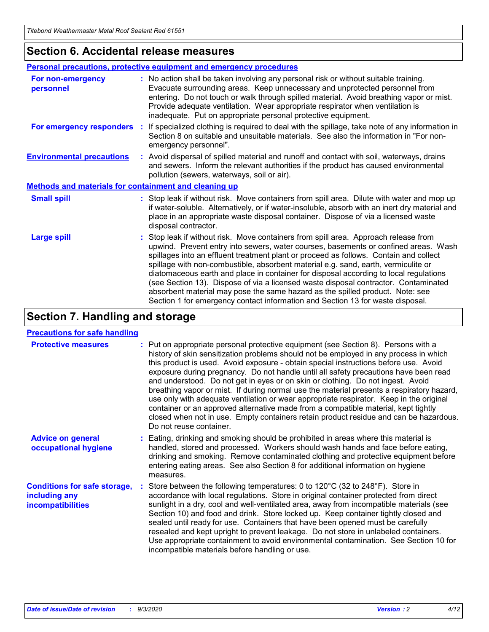### **Section 6. Accidental release measures**

|                                                              | Personal precautions, protective equipment and emergency procedures                                                                                                                                                                                                                                                                                                                                                                                                                                                                                                                                                                                                                                          |  |  |  |  |
|--------------------------------------------------------------|--------------------------------------------------------------------------------------------------------------------------------------------------------------------------------------------------------------------------------------------------------------------------------------------------------------------------------------------------------------------------------------------------------------------------------------------------------------------------------------------------------------------------------------------------------------------------------------------------------------------------------------------------------------------------------------------------------------|--|--|--|--|
| For non-emergency<br>personnel                               | : No action shall be taken involving any personal risk or without suitable training.<br>Evacuate surrounding areas. Keep unnecessary and unprotected personnel from<br>entering. Do not touch or walk through spilled material. Avoid breathing vapor or mist.<br>Provide adequate ventilation. Wear appropriate respirator when ventilation is<br>inadequate. Put on appropriate personal protective equipment.                                                                                                                                                                                                                                                                                             |  |  |  |  |
| For emergency responders                                     | : If specialized clothing is required to deal with the spillage, take note of any information in<br>Section 8 on suitable and unsuitable materials. See also the information in "For non-<br>emergency personnel".                                                                                                                                                                                                                                                                                                                                                                                                                                                                                           |  |  |  |  |
| <b>Environmental precautions</b>                             | : Avoid dispersal of spilled material and runoff and contact with soil, waterways, drains<br>and sewers. Inform the relevant authorities if the product has caused environmental<br>pollution (sewers, waterways, soil or air).                                                                                                                                                                                                                                                                                                                                                                                                                                                                              |  |  |  |  |
| <b>Methods and materials for containment and cleaning up</b> |                                                                                                                                                                                                                                                                                                                                                                                                                                                                                                                                                                                                                                                                                                              |  |  |  |  |
| <b>Small spill</b>                                           | : Stop leak if without risk. Move containers from spill area. Dilute with water and mop up<br>if water-soluble. Alternatively, or if water-insoluble, absorb with an inert dry material and<br>place in an appropriate waste disposal container. Dispose of via a licensed waste<br>disposal contractor.                                                                                                                                                                                                                                                                                                                                                                                                     |  |  |  |  |
| <b>Large spill</b>                                           | : Stop leak if without risk. Move containers from spill area. Approach release from<br>upwind. Prevent entry into sewers, water courses, basements or confined areas. Wash<br>spillages into an effluent treatment plant or proceed as follows. Contain and collect<br>spillage with non-combustible, absorbent material e.g. sand, earth, vermiculite or<br>diatomaceous earth and place in container for disposal according to local regulations<br>(see Section 13). Dispose of via a licensed waste disposal contractor. Contaminated<br>absorbent material may pose the same hazard as the spilled product. Note: see<br>Section 1 for emergency contact information and Section 13 for waste disposal. |  |  |  |  |

### **Section 7. Handling and storage**

#### **Precautions for safe handling**

| <b>Protective measures</b>                                                       | : Put on appropriate personal protective equipment (see Section 8). Persons with a<br>history of skin sensitization problems should not be employed in any process in which<br>this product is used. Avoid exposure - obtain special instructions before use. Avoid<br>exposure during pregnancy. Do not handle until all safety precautions have been read<br>and understood. Do not get in eyes or on skin or clothing. Do not ingest. Avoid<br>breathing vapor or mist. If during normal use the material presents a respiratory hazard,<br>use only with adequate ventilation or wear appropriate respirator. Keep in the original<br>container or an approved alternative made from a compatible material, kept tightly<br>closed when not in use. Empty containers retain product residue and can be hazardous.<br>Do not reuse container. |
|----------------------------------------------------------------------------------|--------------------------------------------------------------------------------------------------------------------------------------------------------------------------------------------------------------------------------------------------------------------------------------------------------------------------------------------------------------------------------------------------------------------------------------------------------------------------------------------------------------------------------------------------------------------------------------------------------------------------------------------------------------------------------------------------------------------------------------------------------------------------------------------------------------------------------------------------|
| <b>Advice on general</b><br>occupational hygiene                                 | : Eating, drinking and smoking should be prohibited in areas where this material is<br>handled, stored and processed. Workers should wash hands and face before eating,<br>drinking and smoking. Remove contaminated clothing and protective equipment before<br>entering eating areas. See also Section 8 for additional information on hygiene<br>measures.                                                                                                                                                                                                                                                                                                                                                                                                                                                                                    |
| <b>Conditions for safe storage,</b><br>including any<br><b>incompatibilities</b> | Store between the following temperatures: 0 to $120^{\circ}$ C (32 to $248^{\circ}$ F). Store in<br>accordance with local regulations. Store in original container protected from direct<br>sunlight in a dry, cool and well-ventilated area, away from incompatible materials (see<br>Section 10) and food and drink. Store locked up. Keep container tightly closed and<br>sealed until ready for use. Containers that have been opened must be carefully<br>resealed and kept upright to prevent leakage. Do not store in unlabeled containers.<br>Use appropriate containment to avoid environmental contamination. See Section 10 for<br>incompatible materials before handling or use.                                                                                                                                                     |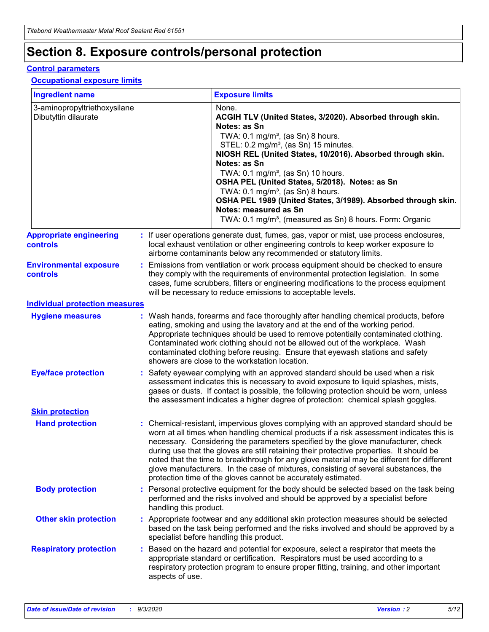# **Section 8. Exposure controls/personal protection**

#### **Control parameters**

#### **Occupational exposure limits**

| <b>Ingredient name</b>                               |    |                        | <b>Exposure limits</b>                                                                                                                                                                                                                                                                                                                                                                                                                                                                                                                                                                                                 |
|------------------------------------------------------|----|------------------------|------------------------------------------------------------------------------------------------------------------------------------------------------------------------------------------------------------------------------------------------------------------------------------------------------------------------------------------------------------------------------------------------------------------------------------------------------------------------------------------------------------------------------------------------------------------------------------------------------------------------|
| 3-aminopropyltriethoxysilane<br>Dibutyltin dilaurate |    |                        | None.<br>ACGIH TLV (United States, 3/2020). Absorbed through skin.<br>Notes: as Sn<br>TWA: $0.1 \text{ mg/m}^3$ , (as Sn) 8 hours.<br>STEL: 0.2 mg/m <sup>3</sup> , (as Sn) 15 minutes.<br>NIOSH REL (United States, 10/2016). Absorbed through skin.<br>Notes: as Sn<br>TWA: 0.1 mg/m <sup>3</sup> , (as Sn) 10 hours.<br>OSHA PEL (United States, 5/2018). Notes: as Sn<br>TWA: 0.1 mg/m <sup>3</sup> , (as Sn) 8 hours.<br>OSHA PEL 1989 (United States, 3/1989). Absorbed through skin.<br>Notes: measured as Sn<br>TWA: 0.1 mg/m <sup>3</sup> , (measured as Sn) 8 hours. Form: Organic                           |
| <b>Appropriate engineering</b><br>controls           |    |                        | : If user operations generate dust, fumes, gas, vapor or mist, use process enclosures,<br>local exhaust ventilation or other engineering controls to keep worker exposure to<br>airborne contaminants below any recommended or statutory limits.                                                                                                                                                                                                                                                                                                                                                                       |
| <b>Environmental exposure</b><br>controls            |    |                        | Emissions from ventilation or work process equipment should be checked to ensure<br>they comply with the requirements of environmental protection legislation. In some<br>cases, fume scrubbers, filters or engineering modifications to the process equipment<br>will be necessary to reduce emissions to acceptable levels.                                                                                                                                                                                                                                                                                          |
| <b>Individual protection measures</b>                |    |                        |                                                                                                                                                                                                                                                                                                                                                                                                                                                                                                                                                                                                                        |
| <b>Hygiene measures</b>                              |    |                        | : Wash hands, forearms and face thoroughly after handling chemical products, before<br>eating, smoking and using the lavatory and at the end of the working period.<br>Appropriate techniques should be used to remove potentially contaminated clothing.<br>Contaminated work clothing should not be allowed out of the workplace. Wash<br>contaminated clothing before reusing. Ensure that eyewash stations and safety<br>showers are close to the workstation location.                                                                                                                                            |
| <b>Eye/face protection</b>                           |    |                        | Safety eyewear complying with an approved standard should be used when a risk<br>assessment indicates this is necessary to avoid exposure to liquid splashes, mists,<br>gases or dusts. If contact is possible, the following protection should be worn, unless<br>the assessment indicates a higher degree of protection: chemical splash goggles.                                                                                                                                                                                                                                                                    |
| <b>Skin protection</b>                               |    |                        |                                                                                                                                                                                                                                                                                                                                                                                                                                                                                                                                                                                                                        |
| <b>Hand protection</b>                               |    |                        | : Chemical-resistant, impervious gloves complying with an approved standard should be<br>worn at all times when handling chemical products if a risk assessment indicates this is<br>necessary. Considering the parameters specified by the glove manufacturer, check<br>during use that the gloves are still retaining their protective properties. It should be<br>noted that the time to breakthrough for any glove material may be different for different<br>glove manufacturers. In the case of mixtures, consisting of several substances, the<br>protection time of the gloves cannot be accurately estimated. |
| <b>Body protection</b>                               |    | handling this product. | Personal protective equipment for the body should be selected based on the task being<br>performed and the risks involved and should be approved by a specialist before                                                                                                                                                                                                                                                                                                                                                                                                                                                |
| <b>Other skin protection</b>                         |    |                        | : Appropriate footwear and any additional skin protection measures should be selected<br>based on the task being performed and the risks involved and should be approved by a<br>specialist before handling this product.                                                                                                                                                                                                                                                                                                                                                                                              |
| <b>Respiratory protection</b>                        | ÷. | aspects of use.        | Based on the hazard and potential for exposure, select a respirator that meets the<br>appropriate standard or certification. Respirators must be used according to a<br>respiratory protection program to ensure proper fitting, training, and other important                                                                                                                                                                                                                                                                                                                                                         |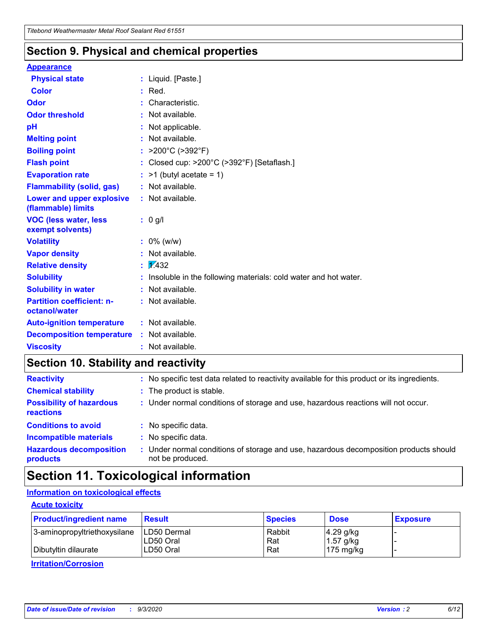### **Section 9. Physical and chemical properties**

#### **Appearance**

| <b>Physical state</b>                             | : Liquid. [Paste.]                                              |
|---------------------------------------------------|-----------------------------------------------------------------|
| Color                                             | Red.                                                            |
| Odor                                              | Characteristic.                                                 |
| <b>Odor threshold</b>                             | Not available.                                                  |
| рH                                                | Not applicable.                                                 |
| <b>Melting point</b>                              | : Not available.                                                |
| <b>Boiling point</b>                              | >200°C (>392°F)                                                 |
| <b>Flash point</b>                                | Closed cup: >200°C (>392°F) [Setaflash.]                        |
| <b>Evaporation rate</b>                           | $>1$ (butyl acetate = 1)                                        |
| <b>Flammability (solid, gas)</b>                  | : Not available.                                                |
| Lower and upper explosive<br>(flammable) limits   | : Not available.                                                |
| <b>VOC (less water, less)</b><br>exempt solvents) | : 0 g/l                                                         |
| <b>Volatility</b>                                 | $: 0\%$ (w/w)                                                   |
| <b>Vapor density</b>                              | Not available.                                                  |
| <b>Relative density</b>                           | $\mathbf{1}$ $\mathbf{\sqrt{4}}$ 32                             |
| <b>Solubility</b>                                 | Insoluble in the following materials: cold water and hot water. |
| <b>Solubility in water</b>                        | Not available.                                                  |
| <b>Partition coefficient: n-</b><br>octanol/water | $:$ Not available.                                              |
| <b>Auto-ignition temperature</b>                  | : Not available.                                                |
| <b>Decomposition temperature</b>                  | : Not available.                                                |
| <b>Viscosity</b>                                  | : Not available.                                                |

### **Section 10. Stability and reactivity**

| <b>Reactivity</b>                            | : No specific test data related to reactivity available for this product or its ingredients.            |
|----------------------------------------------|---------------------------------------------------------------------------------------------------------|
| <b>Chemical stability</b>                    | : The product is stable.                                                                                |
| <b>Possibility of hazardous</b><br>reactions | : Under normal conditions of storage and use, hazardous reactions will not occur.                       |
| <b>Conditions to avoid</b>                   | : No specific data.                                                                                     |
| <b>Incompatible materials</b>                | : No specific data.                                                                                     |
| <b>Hazardous decomposition</b><br>products   | Under normal conditions of storage and use, hazardous decomposition products should<br>not be produced. |

## **Section 11. Toxicological information**

### **Information on toxicological effects**

#### **Acute toxicity**

| <b>Product/ingredient name</b> | <b>Result</b>           | <b>Species</b> | <b>Dose</b>                | <b>Exposure</b> |
|--------------------------------|-------------------------|----------------|----------------------------|-----------------|
| 3-aminopropyltriethoxysilane   | <b>ILD50 Dermal</b>     | Rabbit         | 4.29 g/kg                  |                 |
| Dibutyltin dilaurate           | ILD50 Oral<br>LD50 Oral | Rat<br>Rat     | $1.57$ g/kg<br>175 $mg/kg$ |                 |
|                                |                         |                |                            |                 |

**Irritation/Corrosion**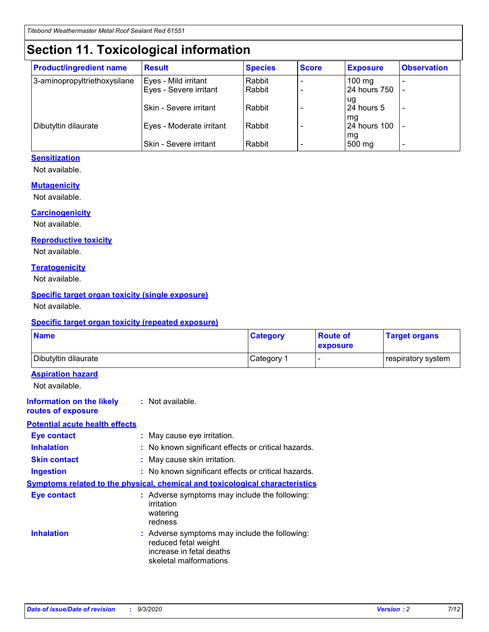# **Section 11. Toxicological information**

| <b>Product/ingredient name</b> | <b>Result</b>                 | <b>Species</b> | <b>Score</b> | <b>Exposure</b>    | <b>Observation</b> |
|--------------------------------|-------------------------------|----------------|--------------|--------------------|--------------------|
| 3-aminopropyltriethoxysilane   | Eyes - Mild irritant          | Rabbit         |              | $100$ mg           |                    |
|                                | Eyes - Severe irritant        | Rabbit         |              | 24 hours 750       |                    |
|                                |                               |                |              | ug                 |                    |
|                                | <b>Skin - Severe irritant</b> | Rabbit         |              | 24 hours 5         | ۰                  |
| Dibutyltin dilaurate           | Eyes - Moderate irritant      | Rabbit         |              | mq<br>24 hours 100 |                    |
|                                |                               |                |              | mg                 |                    |
|                                | Skin - Severe irritant        | Rabbit         |              | 500 mg             |                    |

#### **Sensitization**

Not available.

#### **Mutagenicity**

Not available.

#### **Carcinogenicity**

Not available.

#### **Reproductive toxicity**

Not available.

#### **Teratogenicity**

Not available.

#### **Specific target organ toxicity (single exposure)**

Not available.

#### **Specific target organ toxicity (repeated exposure)**

| <b>Name</b>                                                                         |                                                                            | <b>Category</b>                                     | <b>Route of</b><br>exposure | <b>Target organs</b> |  |  |
|-------------------------------------------------------------------------------------|----------------------------------------------------------------------------|-----------------------------------------------------|-----------------------------|----------------------|--|--|
| Dibutyltin dilaurate                                                                |                                                                            | Category 1                                          |                             | respiratory system   |  |  |
| <b>Aspiration hazard</b><br>Not available.                                          |                                                                            |                                                     |                             |                      |  |  |
| <b>Information on the likely</b><br>routes of exposure                              | : Not available.                                                           |                                                     |                             |                      |  |  |
| <b>Potential acute health effects</b>                                               |                                                                            |                                                     |                             |                      |  |  |
| <b>Eye contact</b>                                                                  | : May cause eye irritation.                                                |                                                     |                             |                      |  |  |
| <b>Inhalation</b>                                                                   |                                                                            | : No known significant effects or critical hazards. |                             |                      |  |  |
| <b>Skin contact</b>                                                                 |                                                                            | : May cause skin irritation.                        |                             |                      |  |  |
| <b>Ingestion</b>                                                                    |                                                                            | : No known significant effects or critical hazards. |                             |                      |  |  |
| <b>Symptoms related to the physical, chemical and toxicological characteristics</b> |                                                                            |                                                     |                             |                      |  |  |
| <b>Eye contact</b>                                                                  | irritation<br>watering<br>redness                                          | : Adverse symptoms may include the following:       |                             |                      |  |  |
| <b>Inhalation</b>                                                                   | reduced fetal weight<br>increase in fetal deaths<br>skeletal malformations | : Adverse symptoms may include the following:       |                             |                      |  |  |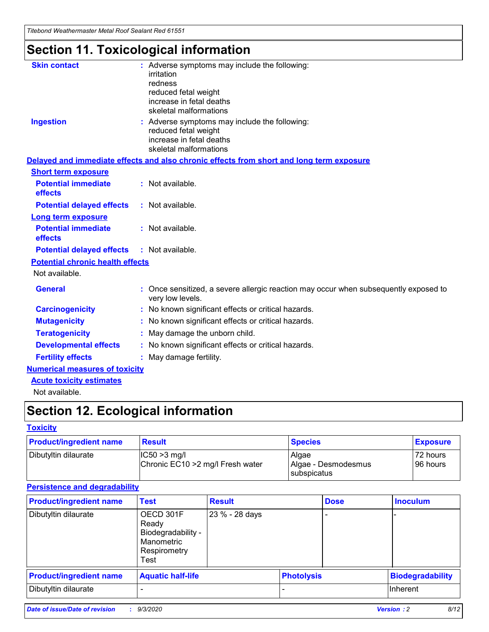*Titebond Weathermaster Metal Roof Sealant Red 61551*

# **Section 11. Toxicological information**

| <b>Skin contact</b>                     | : Adverse symptoms may include the following:<br>irritation                                                                 |  |
|-----------------------------------------|-----------------------------------------------------------------------------------------------------------------------------|--|
|                                         | redness                                                                                                                     |  |
|                                         | reduced fetal weight<br>increase in fetal deaths                                                                            |  |
|                                         | skeletal malformations                                                                                                      |  |
| <b>Ingestion</b>                        | : Adverse symptoms may include the following:<br>reduced fetal weight<br>increase in fetal deaths<br>skeletal malformations |  |
|                                         | Delayed and immediate effects and also chronic effects from short and long term exposure                                    |  |
| <b>Short term exposure</b>              |                                                                                                                             |  |
| <b>Potential immediate</b><br>effects   | : Not available.                                                                                                            |  |
| <b>Potential delayed effects</b>        | : Not available.                                                                                                            |  |
| <b>Long term exposure</b>               |                                                                                                                             |  |
| <b>Potential immediate</b><br>effects   | : Not available.                                                                                                            |  |
| <b>Potential delayed effects</b>        | : Not available.                                                                                                            |  |
| <b>Potential chronic health effects</b> |                                                                                                                             |  |
| Not available.                          |                                                                                                                             |  |
| <b>General</b>                          | Once sensitized, a severe allergic reaction may occur when subsequently exposed to<br>very low levels.                      |  |
| <b>Carcinogenicity</b>                  | : No known significant effects or critical hazards.                                                                         |  |
| <b>Mutagenicity</b>                     | : No known significant effects or critical hazards.                                                                         |  |
| <b>Teratogenicity</b>                   | May damage the unborn child.                                                                                                |  |
| <b>Developmental effects</b>            | : No known significant effects or critical hazards.                                                                         |  |
| <b>Fertility effects</b>                | May damage fertility.                                                                                                       |  |
| <b>Numerical measures of toxicity</b>   |                                                                                                                             |  |
| <b>Acute toxicity estimates</b>         |                                                                                                                             |  |
| الملحلة والمستحيط والمسالم              |                                                                                                                             |  |

Not available.

# **Section 12. Ecological information**

#### **Toxicity**

| <b>Product/ingredient name</b> | <b>Result</b>                                       | <b>Species</b>               | <b>Exposure</b>       |
|--------------------------------|-----------------------------------------------------|------------------------------|-----------------------|
| Dibutyltin dilaurate           | $ CC50>3$ mg/l<br>Chronic EC10 > 2 mg/l Fresh water | Algae<br>Algae - Desmodesmus | 72 hours<br>196 hours |
|                                |                                                     | <b>I</b> subspicatus         |                       |

#### **Persistence and degradability**

| <b>Product/ingredient name</b> | <b>Test</b>                                                                    | <b>Result</b>  |                   | <b>Dose</b> | <b>Inoculum</b>         |
|--------------------------------|--------------------------------------------------------------------------------|----------------|-------------------|-------------|-------------------------|
| Dibutyltin dilaurate           | OECD 301F<br>Ready<br>Biodegradability -<br>Manometric<br>Respirometry<br>Test | 23 % - 28 days |                   |             |                         |
| <b>Product/ingredient name</b> | <b>Aquatic half-life</b>                                                       |                | <b>Photolysis</b> |             | <b>Biodegradability</b> |
| Dibutyltin dilaurate           |                                                                                |                |                   |             | <b>Inherent</b>         |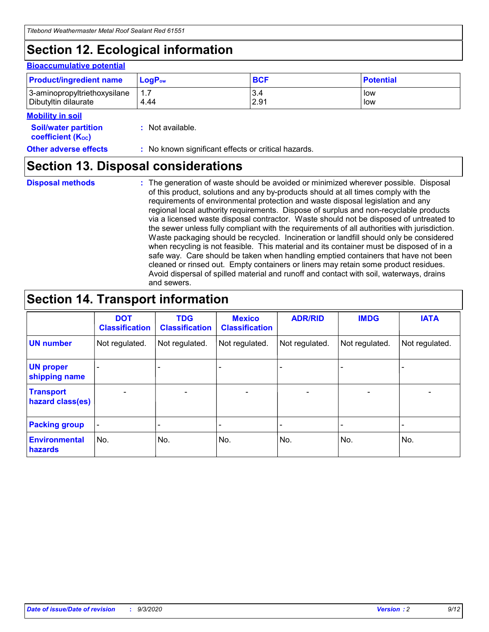# **Section 12. Ecological information**

#### **Bioaccumulative potential**

| <b>Product/ingredient name</b> | $LogPow$ | <b>BCF</b> | <b>Potential</b> |
|--------------------------------|----------|------------|------------------|
| 3-aminopropyltriethoxysilane   | 1.7      | 3.4        | low              |
| Dibutyltin dilaurate           | 4.44     | 2.91       | low              |

#### **Mobility in soil**

| MUNIHIY III JUH                                               |                                                     |
|---------------------------------------------------------------|-----------------------------------------------------|
| <b>Soil/water partition</b><br>coefficient (K <sub>oc</sub> ) | : Not available.                                    |
| <b>Other adverse effects</b>                                  | : No known significant effects or critical hazards. |

### **Section 13. Disposal considerations**

**Disposal methods :**

The generation of waste should be avoided or minimized wherever possible. Disposal of this product, solutions and any by-products should at all times comply with the requirements of environmental protection and waste disposal legislation and any regional local authority requirements. Dispose of surplus and non-recyclable products via a licensed waste disposal contractor. Waste should not be disposed of untreated to the sewer unless fully compliant with the requirements of all authorities with jurisdiction. Waste packaging should be recycled. Incineration or landfill should only be considered when recycling is not feasible. This material and its container must be disposed of in a safe way. Care should be taken when handling emptied containers that have not been cleaned or rinsed out. Empty containers or liners may retain some product residues. Avoid dispersal of spilled material and runoff and contact with soil, waterways, drains and sewers.

### **Section 14. Transport information**

|                                      | <b>DOT</b><br><b>Classification</b> | <b>TDG</b><br><b>Classification</b> | <b>Mexico</b><br><b>Classification</b> | <b>ADR/RID</b> | <b>IMDG</b>              | <b>IATA</b>    |
|--------------------------------------|-------------------------------------|-------------------------------------|----------------------------------------|----------------|--------------------------|----------------|
| <b>UN number</b>                     | Not regulated.                      | Not regulated.                      | Not regulated.                         | Not regulated. | Not regulated.           | Not regulated. |
| <b>UN proper</b><br>shipping name    |                                     |                                     |                                        |                |                          |                |
| <b>Transport</b><br>hazard class(es) |                                     | $\overline{\phantom{0}}$            | $\overline{\phantom{0}}$               |                | $\overline{\phantom{0}}$ |                |
| <b>Packing group</b>                 |                                     |                                     |                                        |                |                          |                |
| <b>Environmental</b><br>hazards      | No.                                 | No.                                 | No.                                    | No.            | No.                      | No.            |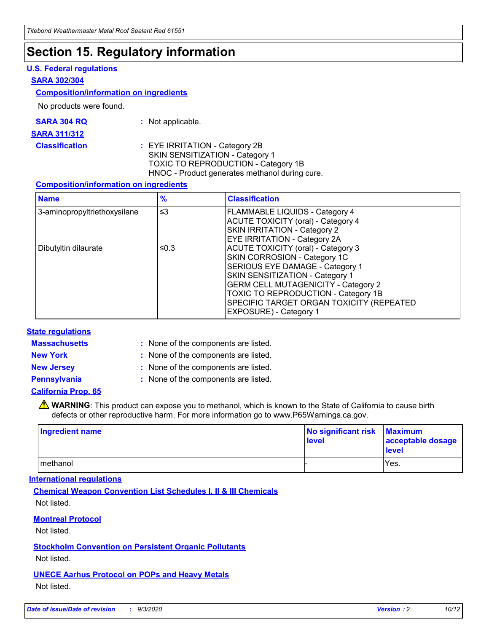### **Section 15. Regulatory information**

#### **U.S. Federal regulations**

#### **SARA 302/304**

#### **Composition/information on ingredients**

No products were found.

| SARA 304 RQ | Not applicable. |
|-------------|-----------------|
|-------------|-----------------|

#### **SARA 311/312**

**Classification :** EYE IRRITATION - Category 2B SKIN SENSITIZATION - Category 1 TOXIC TO REPRODUCTION - Category 1B HNOC - Product generates methanol during cure.

#### **Composition/information on ingredients**

| <b>Name</b>                  | $\frac{9}{6}$ | <b>Classification</b>                                                                                                                                                                                                                                                                                      |
|------------------------------|---------------|------------------------------------------------------------------------------------------------------------------------------------------------------------------------------------------------------------------------------------------------------------------------------------------------------------|
| 3-aminopropyltriethoxysilane | $\leq$ 3      | <b>FLAMMABLE LIQUIDS - Category 4</b><br><b>ACUTE TOXICITY (oral) - Category 4</b><br><b>SKIN IRRITATION - Category 2</b><br>EYE IRRITATION - Category 2A                                                                                                                                                  |
| Dibutyltin dilaurate         | ≤0.3          | <b>ACUTE TOXICITY (oral) - Category 3</b><br>SKIN CORROSION - Category 1C<br>SERIOUS EYE DAMAGE - Category 1<br>SKIN SENSITIZATION - Category 1<br><b>GERM CELL MUTAGENICITY - Category 2</b><br>TOXIC TO REPRODUCTION - Category 1B<br>SPECIFIC TARGET ORGAN TOXICITY (REPEATED<br>EXPOSURE) - Category 1 |

#### **State regulations**

**Massachusetts :**

: None of the components are listed.

**New York :** None of the components are listed. **New Jersey :** None of the components are listed.

**Pennsylvania :** None of the components are listed.

#### **California Prop. 65**

WARNING: This product can expose you to methanol, which is known to the State of California to cause birth defects or other reproductive harm. For more information go to www.P65Warnings.ca.gov.

| Ingredient name | No significant risk Maximum<br>level | acceptable dosage<br><b>level</b> |
|-----------------|--------------------------------------|-----------------------------------|
| I methanol      |                                      | Yes.                              |

#### **International regulations**

**Chemical Weapon Convention List Schedules I, II & III Chemicals** Not listed.

#### **Montreal Protocol**

Not listed.

**Stockholm Convention on Persistent Organic Pollutants**

Not listed.

#### **UNECE Aarhus Protocol on POPs and Heavy Metals** Not listed.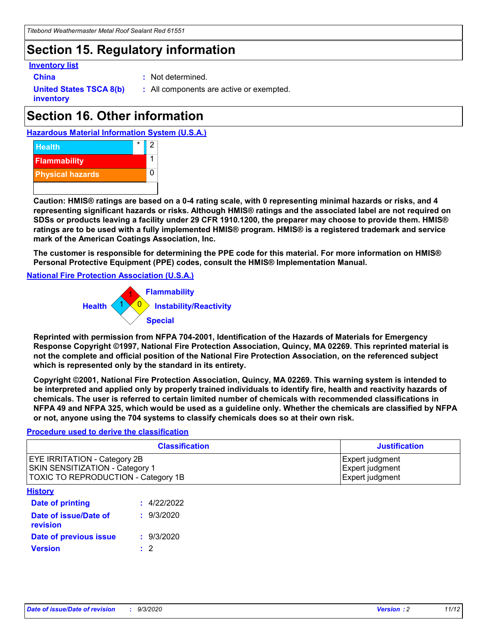### **Section 15. Regulatory information**

#### **Inventory list**

- 
- **China :** Not determined.

**United States TSCA 8(b) inventory**

**:** All components are active or exempted.

# **Section 16. Other information**





**Caution: HMIS® ratings are based on a 0-4 rating scale, with 0 representing minimal hazards or risks, and 4 representing significant hazards or risks. Although HMIS® ratings and the associated label are not required on SDSs or products leaving a facility under 29 CFR 1910.1200, the preparer may choose to provide them. HMIS® ratings are to be used with a fully implemented HMIS® program. HMIS® is a registered trademark and service mark of the American Coatings Association, Inc.**

**The customer is responsible for determining the PPE code for this material. For more information on HMIS® Personal Protective Equipment (PPE) codes, consult the HMIS® Implementation Manual.**

**National Fire Protection Association (U.S.A.)**



**Reprinted with permission from NFPA 704-2001, Identification of the Hazards of Materials for Emergency Response Copyright ©1997, National Fire Protection Association, Quincy, MA 02269. This reprinted material is not the complete and official position of the National Fire Protection Association, on the referenced subject which is represented only by the standard in its entirety.**

**Copyright ©2001, National Fire Protection Association, Quincy, MA 02269. This warning system is intended to be interpreted and applied only by properly trained individuals to identify fire, health and reactivity hazards of chemicals. The user is referred to certain limited number of chemicals with recommended classifications in NFPA 49 and NFPA 325, which would be used as a guideline only. Whether the chemicals are classified by NFPA or not, anyone using the 704 systems to classify chemicals does so at their own risk.**

#### **Procedure used to derive the classification**

| <b>Classification</b>                                                                                                | <b>Justification</b>                                  |
|----------------------------------------------------------------------------------------------------------------------|-------------------------------------------------------|
| <b>EYE IRRITATION - Category 2B</b><br><b>SKIN SENSITIZATION - Category 1</b><br>TOXIC TO REPRODUCTION - Category 1B | Expert judgment<br>Expert judgment<br>Expert judgment |
| <b>History</b>                                                                                                       |                                                       |

| <b>Date of printing</b>                  | : 4/22/2022 |
|------------------------------------------|-------------|
| Date of issue/Date of<br><b>revision</b> | : 9/3/2020  |
| Date of previous issue                   | : 9/3/2020  |
| <b>Version</b>                           | $\cdot$ 2   |